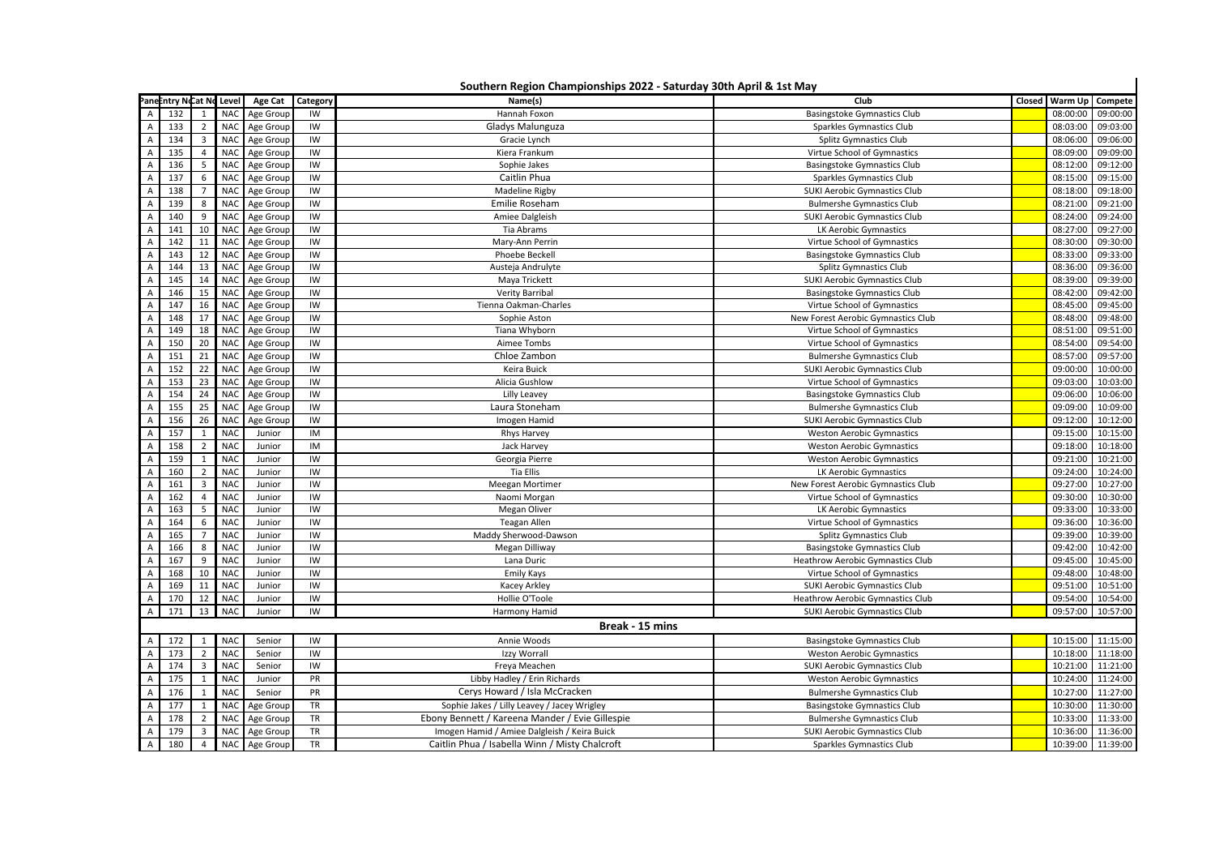|                  | Southern Region Championships 2022 - Saturday 30th April & 1st May |                         |                 |               |           |                                                 |                                     |        |          |                   |  |
|------------------|--------------------------------------------------------------------|-------------------------|-----------------|---------------|-----------|-------------------------------------------------|-------------------------------------|--------|----------|-------------------|--|
|                  | Pane intry Ncat No Level<br>A 132 1 NAC                            |                         |                 | Age Cat       | Category  | Name(s)                                         | Club                                | Closed | Warm Up  | Compete           |  |
|                  |                                                                    |                         |                 | Age Group     | IW        | Hannah Foxon                                    | <b>Basingstoke Gymnastics Club</b>  |        | 08:00:00 | 09:00:00          |  |
| $\overline{A}$   | 133                                                                | 2                       | <b>NAC</b>      | Age Group     | IW        | Gladys Malunguza                                | Sparkles Gymnastics Club            |        | 08:03:00 | 09:03:00          |  |
| $\overline{A}$   | 134                                                                | 3                       | <b>NAC</b>      | Age Group     | IW        | Gracie Lynch                                    | Splitz Gymnastics Club              |        | 08:06:00 | 09:06:00          |  |
| A                | 135                                                                | $\overline{4}$          | <b>NAC</b>      | Age Group     | IW        | Kiera Frankum                                   | Virtue School of Gymnastics         |        | 08:09:00 | 09:09:00          |  |
| Α                | 136                                                                | 5                       | <b>NAC</b>      | Age Group     | IW        | Sophie Jakes                                    | <b>Basingstoke Gymnastics Club</b>  |        | 08:12:00 | 09:12:00          |  |
| A                | 137                                                                | 6                       | <b>NAC</b>      | Age Group     | IW        | Caitlin Phua                                    | Sparkles Gymnastics Club            |        | 08:15:00 | 09:15:00          |  |
| A                | 138                                                                | $\overline{7}$          | <b>NAC</b>      | Age Group     | IW        | Madeline Rigby                                  | <b>SUKI Aerobic Gymnastics Club</b> |        | 08:18:00 | 09:18:00          |  |
| $\overline{A}$   | 139                                                                | 8                       | <b>NAC</b>      | Age Group     | IW        | Emilie Roseham                                  | <b>Bulmershe Gymnastics Club</b>    |        | 08:21:00 | 09:21:00          |  |
| A                | 140                                                                | 9                       | <b>NAC</b>      | Age Group     | IW        | Amiee Dalgleish                                 | <b>SUKI Aerobic Gymnastics Club</b> |        | 08:24:00 | 09:24:00          |  |
| A                | 141                                                                | 10                      | <b>NAC</b>      | Age Group     | IW        | Tia Abrams                                      | LK Aerobic Gymnastics               |        | 08:27:00 | 09:27:00          |  |
| $\overline{A}$   | 142                                                                | 11                      | <b>NAC</b>      | Age Group     | IW        | Mary-Ann Perrin                                 | Virtue School of Gymnastics         |        | 08:30:00 | 09:30:00          |  |
| Α                | 143                                                                | 12                      | <b>NAC</b>      | Age Group     | IW        | Phoebe Beckell                                  | <b>Basingstoke Gymnastics Club</b>  |        | 08:33:00 | 09:33:00          |  |
| A                | 144                                                                | 13                      | <b>NAC</b>      | Age Group     | IW        | Austeja Andrulyte                               | Splitz Gymnastics Club              |        | 08:36:00 | 09:36:00          |  |
| A                | 145                                                                | 14                      | <b>NAC</b>      | Age Group     | IW        | Maya Trickett                                   | SUKI Aerobic Gymnastics Club        |        | 08:39:00 | 09:39:00          |  |
| A                | 146                                                                | 15                      | <b>NAC</b>      | Age Group     | IW        | Verity Barribal                                 | <b>Basingstoke Gymnastics Club</b>  |        | 08:42:00 | 09:42:00          |  |
| $\mathsf A$      | 147                                                                | 16                      | <b>NAC</b>      | Age Group     | IW        | Tienna Oakman-Charles                           | Virtue School of Gymnastics         |        | 08:45:00 | 09:45:00          |  |
| Α                | 148                                                                | 17                      | <b>NAC</b>      | Age Group     | IW        | Sophie Aston                                    | New Forest Aerobic Gymnastics Club  |        | 08:48:00 | 09:48:00          |  |
| A                | 149                                                                | 18                      | <b>NAC</b>      | Age Group     | IW        | Tiana Whyborn                                   | Virtue School of Gymnastics         |        | 08:51:00 | 09:51:00          |  |
| A                | 150                                                                | 20                      | <b>NAC</b>      | Age Group     | IW        | Aimee Tombs                                     | Virtue School of Gymnastics         |        | 08:54:00 | 09:54:00          |  |
| $\overline{A}$   | 151                                                                | 21                      | <b>NAC</b>      | Age Group     | IW        | Chloe Zambon                                    | <b>Bulmershe Gymnastics Club</b>    |        | 08:57:00 | 09:57:00          |  |
| A                | 152                                                                | 22                      | <b>NAC</b>      | Age Group     | IW        | Keira Buick                                     | <b>SUKI Aerobic Gymnastics Club</b> |        | 09:00:00 | 10:00:00          |  |
| A                | 153                                                                | 23                      | <b>NAC</b>      | Age Group     | IW        | Alicia Gushlow                                  | Virtue School of Gymnastics         |        | 09:03:00 | 10:03:00          |  |
| A                | 154                                                                | 24                      | <b>NAC</b>      | Age Group     | IW        | Lilly Leavey                                    | <b>Basingstoke Gymnastics Club</b>  |        | 09:06:00 | 10:06:00          |  |
| A                | 155                                                                | 25                      | <b>NAC</b>      | Age Group     | IW        | Laura Stoneham                                  | <b>Bulmershe Gymnastics Club</b>    |        | 09:09:00 | 10:09:00          |  |
| A                | 156                                                                | 26                      | NA <sub>C</sub> | Age Group     | IW        | Imogen Hamid                                    | <b>SUKI Aerobic Gymnastics Club</b> |        | 09:12:00 | 10:12:00          |  |
| Α                | 157                                                                | 1                       | <b>NAC</b>      | Junior        | IM        | Rhys Harvey                                     | <b>Weston Aerobic Gymnastics</b>    |        | 09:15:00 | 10:15:00          |  |
| $\boldsymbol{A}$ | 158                                                                | 2                       | <b>NAC</b>      | Junior        | IM        | Jack Harvey                                     | <b>Weston Aerobic Gymnastics</b>    |        | 09:18:00 | 10:18:00          |  |
| A                | 159                                                                | 1                       | <b>NAC</b>      | Junior        | IW        | Georgia Pierre                                  | <b>Weston Aerobic Gymnastics</b>    |        | 09:21:00 | 10:21:00          |  |
| A                | 160                                                                | $\overline{2}$          | <b>NAC</b>      | Junior        | IW        | Tia Ellis                                       | LK Aerobic Gymnastics               |        | 09:24:00 | 10:24:00          |  |
| A                | 161                                                                | 3                       | <b>NAC</b>      | Junior        | IW        | Meegan Mortimer                                 | New Forest Aerobic Gymnastics Club  |        | 09:27:00 | 10:27:00          |  |
| Α                | 162                                                                | $\overline{4}$          | <b>NAC</b>      | Junior        | IW        | Naomi Morgan                                    | Virtue School of Gymnastics         |        | 09:30:00 | 10:30:00          |  |
| A                | 163                                                                | 5                       | <b>NAC</b>      | Junior        | IW        | Megan Oliver                                    | LK Aerobic Gymnastics               |        | 09:33:00 | 10:33:00          |  |
| A                | 164                                                                | 6                       | <b>NAC</b>      | Junior        | IW        | Teagan Allen                                    | Virtue School of Gymnastics         |        | 09:36:00 | 10:36:00          |  |
| A                | 165                                                                | $\overline{7}$          | <b>NAC</b>      | Junior        | IW        | Maddy Sherwood-Dawson                           | Splitz Gymnastics Club              |        | 09:39:00 | 10:39:00          |  |
| $\boldsymbol{A}$ | 166                                                                | 8                       | <b>NAC</b>      | Junior        | IW        | Megan Dilliway                                  | Basingstoke Gymnastics Club         |        | 09:42:00 | 10:42:00          |  |
| A                | 167                                                                | 9                       | <b>NAC</b>      | Junior        | IW        | Lana Duric                                      | Heathrow Aerobic Gymnastics Club    |        | 09:45:00 | 10:45:00          |  |
| A                | 168                                                                | 10                      | <b>NAC</b>      | Junior        | IW        | <b>Emily Kays</b>                               | Virtue School of Gymnastics         |        | 09:48:00 | 10:48:00          |  |
| Α                | 169                                                                | 11                      | <b>NAC</b>      | Junior        | IW        | Kacey Arkley                                    | SUKI Aerobic Gymnastics Club        |        | 09:51:00 | 10:51:00          |  |
| A                | 170                                                                | 12                      | <b>NAC</b>      | Junior        | IW        | Hollie O'Toole                                  | Heathrow Aerobic Gymnastics Club    |        | 09:54:00 | 10:54:00          |  |
| A                | 171                                                                | 13                      | <b>NAC</b>      | Junior        | IW        | Harmony Hamid                                   | SUKI Aerobic Gymnastics Club        |        | 09:57:00 | 10:57:00          |  |
|                  |                                                                    |                         |                 |               |           |                                                 |                                     |        |          |                   |  |
|                  | Break - 15 mins                                                    |                         |                 |               |           |                                                 |                                     |        |          |                   |  |
| A                | 172                                                                | $\mathbf{1}$            | <b>NAC</b>      | Senior        | IW        | Annie Woods                                     | <b>Basingstoke Gymnastics Club</b>  |        | 10:15:00 | 11:15:00          |  |
| $\overline{A}$   | 173                                                                | $\overline{2}$          | <b>NAC</b>      | Senior        | IW        | Izzy Worrall                                    | <b>Weston Aerobic Gymnastics</b>    |        | 10:18:00 | 11:18:00          |  |
| Α                | 174                                                                | 3                       | <b>NAC</b>      | Senior        | IW        | Freya Meachen                                   | <b>SUKI Aerobic Gymnastics Club</b> |        | 10:21:00 | 11:21:00          |  |
| ГΑ               | 175                                                                | 1                       | <b>NAC</b>      | Junior        | PR        | Libby Hadley / Erin Richards                    | <b>Weston Aerobic Gymnastics</b>    |        | 10:24:00 | 11:24:00          |  |
| A                | 176                                                                | 1                       | <b>NAC</b>      | Senior        | PR        | Cerys Howard / Isla McCracken                   | <b>Bulmershe Gymnastics Club</b>    |        | 10:27:00 | 11:27:00          |  |
| A                | 177                                                                | 1                       | <b>NAC</b>      | Age Group     | TR        | Sophie Jakes / Lilly Leavey / Jacey Wrigley     | <b>Basingstoke Gymnastics Club</b>  |        | 10:30:00 | 11:30:00          |  |
| A                | 178                                                                | $\overline{2}$          | <b>NAC</b>      | Age Group     | TR        | Ebony Bennett / Kareena Mander / Evie Gillespie | <b>Bulmershe Gymnastics Club</b>    |        | 10:33:00 | 11:33:00          |  |
| $\frac{A}{A}$    | 179                                                                | $\overline{\mathbf{3}}$ |                 | NAC Age Group | TR        | Imogen Hamid / Amiee Dalgleish / Keira Buick    | <b>SUKI Aerobic Gymnastics Club</b> |        |          | 10:36:00 11:36:00 |  |
| $\overline{A}$   | 180                                                                | $\overline{4}$          |                 | NAC Age Group | <b>TR</b> | Caitlin Phua / Isabella Winn / Misty Chalcroft  | Sparkles Gymnastics Club            |        |          | 10:39:00 11:39:00 |  |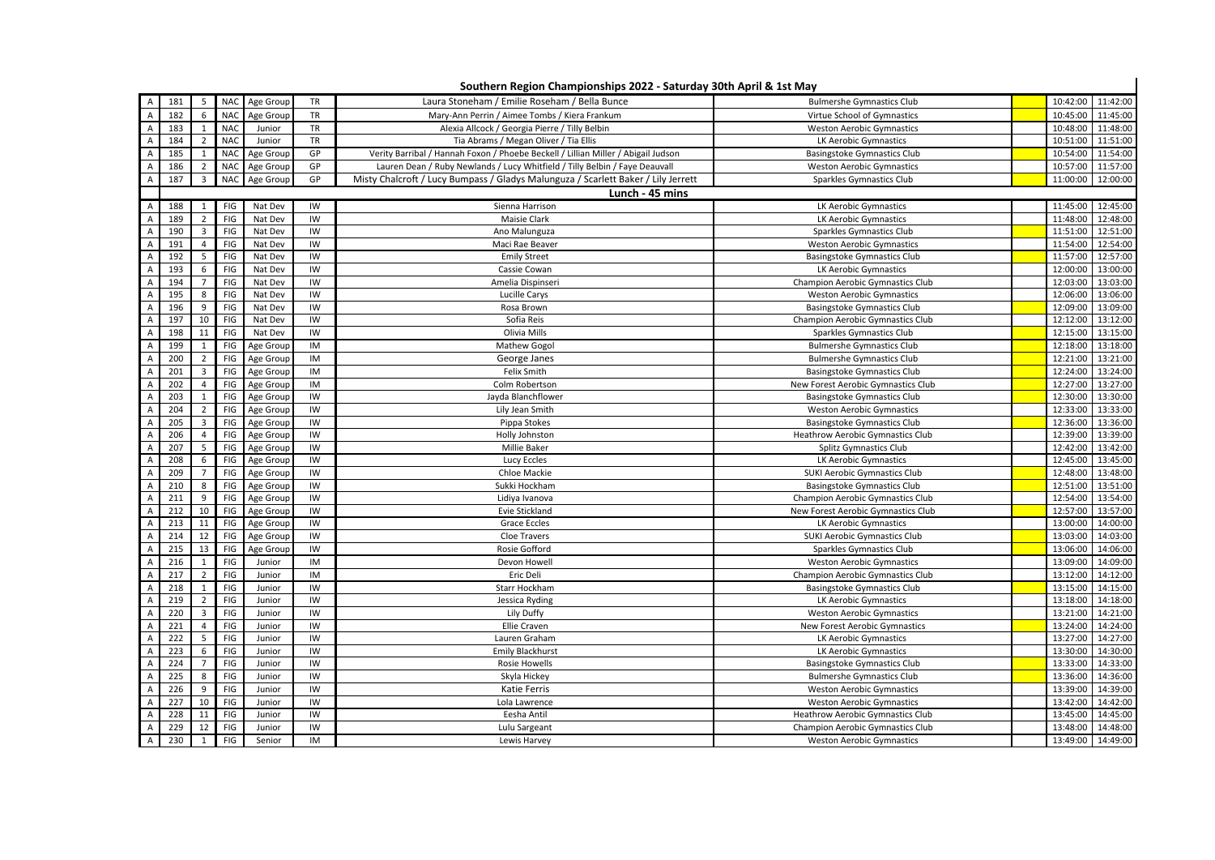| Southern Region Championships 2022 - Saturday 30th April & 1st May |     |                |                 |           |           |                                                                                   |                                         |  |                   |          |  |
|--------------------------------------------------------------------|-----|----------------|-----------------|-----------|-----------|-----------------------------------------------------------------------------------|-----------------------------------------|--|-------------------|----------|--|
| $\overline{A}$                                                     | 181 | .5             | <b>NAC</b>      | Age Group | TR        | Laura Stoneham / Emilie Roseham / Bella Bunce                                     | <b>Bulmershe Gymnastics Club</b>        |  | 10:42:00          | 11:42:00 |  |
| A                                                                  | 182 | 6              | <b>NAC</b>      | Age Group | TR        | Mary-Ann Perrin / Aimee Tombs / Kiera Frankum                                     | Virtue School of Gymnastics             |  | 10:45:00          | 11:45:00 |  |
| A                                                                  | 183 | 1              | <b>NAC</b>      | Junior    | TR        | Alexia Allcock / Georgia Pierre / Tilly Belbin                                    | <b>Weston Aerobic Gymnastics</b>        |  | 10:48:00          | 11:48:00 |  |
| Α                                                                  | 184 |                | NA <sub>C</sub> | Junior    | <b>TR</b> | Tia Abrams / Megan Oliver / Tia Ellis                                             | LK Aerobic Gymnastics                   |  | 10:51:00          | 11:51:00 |  |
| A                                                                  | 185 | $\mathbf{1}$   | <b>NAC</b>      | Age Group | GP        | Verity Barribal / Hannah Foxon / Phoebe Beckell / Lillian Miller / Abigail Judson | <b>Basingstoke Gymnastics Club</b>      |  | 10:54:00          | 11:54:00 |  |
|                                                                    | 186 | $\overline{2}$ | <b>NAC</b>      | Age Group | GP        | Lauren Dean / Ruby Newlands / Lucy Whitfield / Tilly Belbin / Faye Deauvall       | <b>Weston Aerobic Gymnastics</b>        |  | 10:57:00          | 11:57:00 |  |
| $\overline{A}$                                                     | 187 | 3              | <b>NAC</b>      | Age Group | GP        | Misty Chalcroft / Lucy Bumpass / Gladys Malunguza / Scarlett Baker / Lily Jerrett | Sparkles Gymnastics Club                |  | 11:00:00          | 12:00:00 |  |
| Lunch - 45 mins                                                    |     |                |                 |           |           |                                                                                   |                                         |  |                   |          |  |
| A                                                                  | 188 | 1              | FIG             | Nat Dev   | IW        | Sienna Harrison                                                                   | LK Aerobic Gymnastics                   |  | 11:45:00          | 12:45:00 |  |
| A                                                                  | 189 | 2              | FIG             | Nat Dev   | IW        | Maisie Clark                                                                      | LK Aerobic Gymnastics                   |  | 11:48:00          | 12:48:00 |  |
| A                                                                  | 190 | 3              | FIG             | Nat Dev   | IW        | Ano Malunguza                                                                     | Sparkles Gymnastics Club                |  | 11:51:00          | 12:51:00 |  |
| A                                                                  | 191 | $\overline{4}$ | FIG             | Nat Dev   | IW        | Maci Rae Beaver                                                                   | <b>Weston Aerobic Gymnastics</b>        |  | 11:54:00          | 12:54:00 |  |
| Α                                                                  | 192 | 5              | FIG             | Nat Dev   | IW        | <b>Emily Street</b>                                                               | Basingstoke Gymnastics Club             |  | 11:57:00          | 12:57:00 |  |
| $\overline{A}$                                                     | 193 | 6              | FIG             | Nat Dev   | IW        | Cassie Cowan                                                                      | LK Aerobic Gymnastics                   |  | 12:00:00          | 13:00:00 |  |
| Α                                                                  | 194 | $\overline{7}$ | FIG             | Nat Dev   | IW        | Amelia Dispinseri                                                                 | Champion Aerobic Gymnastics Club        |  | 12:03:00          | 13:03:00 |  |
| A                                                                  | 195 | 8              | FIG             | Nat Dev   | IW        | Lucille Carys                                                                     | <b>Weston Aerobic Gymnastics</b>        |  | 12:06:00          | 13:06:00 |  |
| А                                                                  | 196 | 9              | FIG             | Nat Dev   | IW        | Rosa Brown                                                                        | <b>Basingstoke Gymnastics Club</b>      |  | 12:09:00          | 13:09:00 |  |
| Α                                                                  | 197 | 10             | FIG             | Nat Dev   | IW        | Sofia Reis                                                                        | Champion Aerobic Gymnastics Club        |  | 12:12:00          | 13:12:00 |  |
| $\overline{A}$                                                     | 198 | 11             | FIG             | Nat Dev   | IW        | Olivia Mills                                                                      | Sparkles Gymnastics Club                |  | 12:15:00          | 13:15:00 |  |
| Α                                                                  | 199 | $\mathbf{1}$   | FIG             | Age Group | IM        | Mathew Gogol                                                                      | <b>Bulmershe Gymnastics Club</b>        |  | 12:18:00          | 13:18:00 |  |
| $\overline{A}$                                                     | 200 | $\overline{2}$ | FIG             | Age Group | IM        | George Janes                                                                      | <b>Bulmershe Gymnastics Club</b>        |  | 12:21:00          | 13:21:00 |  |
| Α                                                                  | 201 | 3              | FIG             | Age Group | IM        | Felix Smith                                                                       | <b>Basingstoke Gymnastics Club</b>      |  | 12:24:00          | 13:24:00 |  |
| A                                                                  | 202 | 4              | FIG             | Age Group | IM        | Colm Robertson                                                                    | New Forest Aerobic Gymnastics Club      |  | 12:27:00          | 13:27:00 |  |
| $\mathsf A$                                                        | 203 | $\mathbf{1}$   | FIG             | Age Group | IW        | Jayda Blanchflower                                                                | <b>Basingstoke Gymnastics Club</b>      |  | 12:30:00          | 13:30:00 |  |
| $\overline{A}$                                                     | 204 | $\overline{2}$ | FIG             | Age Group | IW        | Lily Jean Smith                                                                   | <b>Weston Aerobic Gymnastics</b>        |  | 12:33:00          | 13:33:00 |  |
| $\overline{A}$                                                     | 205 | 3              | FIG             | Age Group | IW        | Pippa Stokes                                                                      | Basingstoke Gymnastics Club             |  | 12:36:00          | 13:36:00 |  |
| $\overline{A}$                                                     | 206 | $\overline{4}$ | FIG             | Age Group | IW        | Holly Johnston                                                                    | Heathrow Aerobic Gymnastics Club        |  | 12:39:00          | 13:39:00 |  |
| $\overline{A}$                                                     | 207 | 5              | FIG             | Age Group | IW        | Millie Baker                                                                      | Splitz Gymnastics Club                  |  | 12:42:00          | 13:42:00 |  |
| $\overline{A}$                                                     | 208 | 6              | FIG             | Age Group | IW        | Lucy Eccles                                                                       | LK Aerobic Gymnastics                   |  | 12:45:00          | 13:45:00 |  |
| A                                                                  | 209 | $\overline{7}$ | FIG             | Age Group | IW        | Chloe Mackie                                                                      | SUKI Aerobic Gymnastics Club            |  | 12:48:00          | 13:48:00 |  |
| $\overline{A}$                                                     | 210 | 8              | FIG             | Age Group | IW        | Sukki Hockham                                                                     | <b>Basingstoke Gymnastics Club</b>      |  | 12:51:00          | 13:51:00 |  |
| Α                                                                  | 211 | 9              | FIG             | Age Group | IW        | Lidiya Ivanova                                                                    | Champion Aerobic Gymnastics Club        |  | 12:54:00          | 13:54:00 |  |
| A                                                                  | 212 | 10             | FIG             | Age Group | IW        | Evie Stickland                                                                    | New Forest Aerobic Gymnastics Club      |  | 12:57:00          | 13:57:00 |  |
| A                                                                  | 213 | 11             | FIG             | Age Group | IW        | Grace Eccles                                                                      | LK Aerobic Gymnastics                   |  | 13:00:00          | 14:00:00 |  |
| A                                                                  | 214 | 12             | FIG             | Age Group | IW        | Cloe Travers                                                                      | SUKI Aerobic Gymnastics Club            |  | 13:03:00          | 14:03:00 |  |
| $\overline{A}$                                                     | 215 | 13             | FIG             | Age Group | IW        | Rosie Gofford                                                                     | Sparkles Gymnastics Club                |  | 13:06:00          | 14:06:00 |  |
| A                                                                  | 216 | 1              | FIG             | Junior    | IM        | Devon Howell                                                                      | <b>Weston Aerobic Gymnastics</b>        |  | 13:09:00 14:09:00 |          |  |
| Α                                                                  | 217 | $\overline{2}$ | FIG             | Junior    | IM        | Eric Deli                                                                         | Champion Aerobic Gymnastics Club        |  | 13:12:00          | 14:12:00 |  |
| A                                                                  | 218 | $\mathbf{1}$   | FIG             | Junior    | IW        | Starr Hockham                                                                     | Basingstoke Gymnastics Club             |  | 13:15:00          | 14:15:00 |  |
| A                                                                  | 219 | $\overline{2}$ | FIG             | Junior    | IW        | Jessica Ryding                                                                    | LK Aerobic Gymnastics                   |  | 13:18:00          | 14:18:00 |  |
| Α                                                                  | 220 | $\overline{3}$ | FIG             | Junior    | IW        | Lily Duffy                                                                        | <b>Weston Aerobic Gymnastics</b>        |  | 13:21:00          | 14:21:00 |  |
| A                                                                  | 221 | 4              | FIG             | Junior    | IW        | Ellie Craven                                                                      | New Forest Aerobic Gymnastics           |  | 13:24:00          | 14:24:00 |  |
| $\overline{A}$                                                     | 222 | 5              | FIG             | Junior    | IW        | Lauren Graham                                                                     | LK Aerobic Gymnastics                   |  | 13:27:00          | 14:27:00 |  |
| A                                                                  | 223 | 6              | FIG             | Junior    | IW        | <b>Emily Blackhurst</b>                                                           | LK Aerobic Gymnastics                   |  | 13:30:00          | 14:30:00 |  |
| Α                                                                  | 224 | $\overline{7}$ | FIG             | Junior    | IW        | Rosie Howells                                                                     | <b>Basingstoke Gymnastics Club</b>      |  | 13:33:00          | 14:33:00 |  |
| Α                                                                  | 225 | 8              | FIG             | Junior    | IW        | Skyla Hickey                                                                      | <b>Bulmershe Gymnastics Club</b>        |  | 13:36:00          | 14:36:00 |  |
| $\overline{A}$                                                     | 226 | 9              | FIG             | Junior    | IW        | Katie Ferris                                                                      | <b>Weston Aerobic Gymnastics</b>        |  | 13:39:00          | 14:39:00 |  |
| Α                                                                  | 227 | 10             | FIG             | Junior    | IW        | Lola Lawrence                                                                     | <b>Weston Aerobic Gymnastics</b>        |  | 13:42:00          | 14:42:00 |  |
| $\overline{A}$                                                     | 228 | 11             | FIG             | Junior    | IW        | Eesha Antil                                                                       | <b>Heathrow Aerobic Gymnastics Club</b> |  | 13:45:00          | 14:45:00 |  |
| $\overline{A}$                                                     | 229 | 12             | FIG             | Junior    | IW        | Lulu Sargeant                                                                     | Champion Aerobic Gymnastics Club        |  | 13:48:00          | 14:48:00 |  |
| A                                                                  | 230 | 1              | FIG             | Senior    | IM        | Lewis Harvey                                                                      | <b>Weston Aerobic Gymnastics</b>        |  | 13:49:00 14:49:00 |          |  |